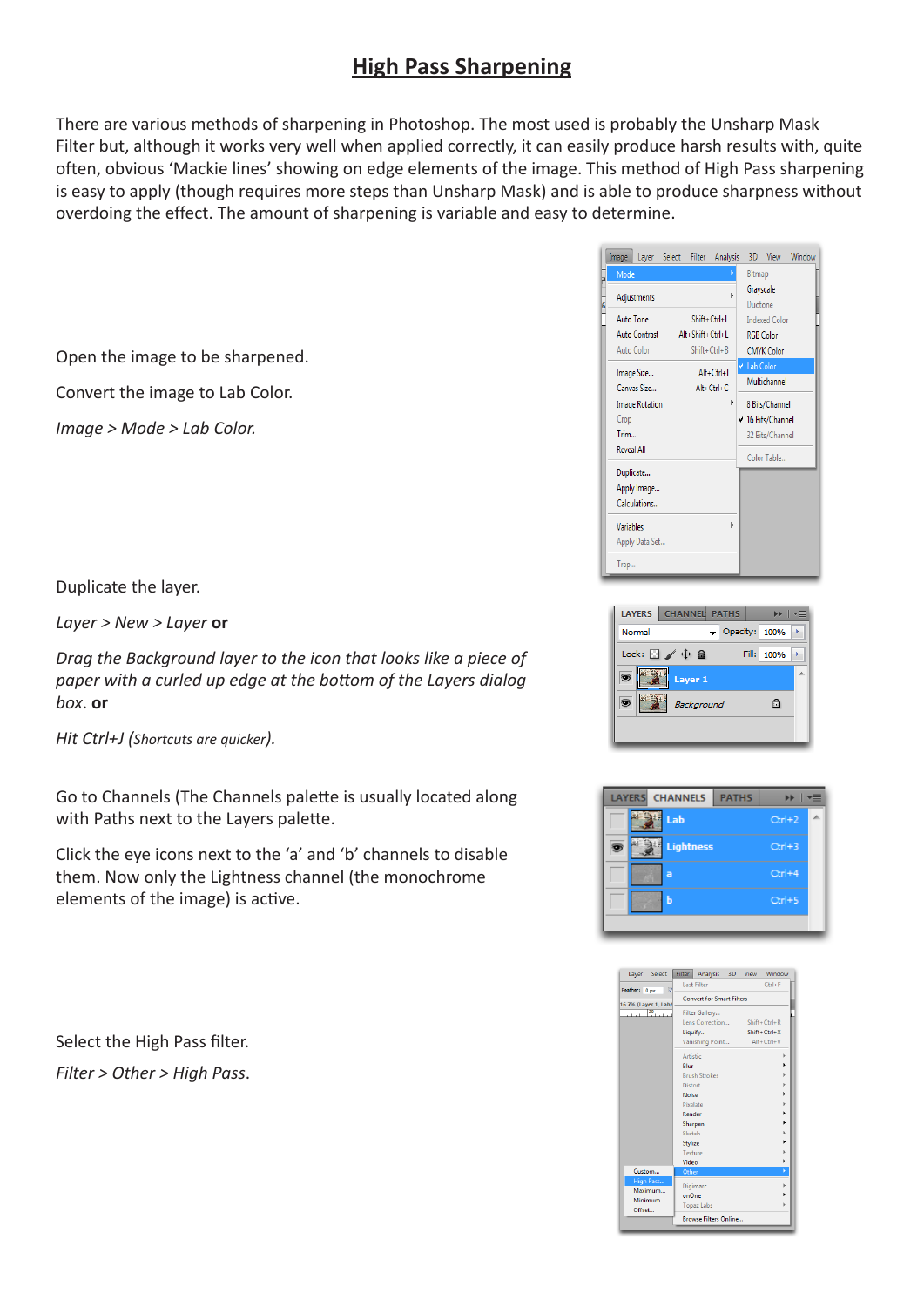## **High Pass Sharpening**

There are various methods of sharpening in Photoshop. The most used is probably the Unsharp Mask Filter but, although it works very well when applied correctly, it can easily produce harsh results with, quite often, obvious 'Mackie lines' showing on edge elements of the image. This method of High Pass sharpening is easy to apply (though requires more steps than Unsharp Mask) and is able to produce sharpness without overdoing the effect. The amount of sharpening is variable and easy to determine.

Open the image to be sharpened.

Convert the image to Lab Color.

*Image > Mode > Lab Color.*



Duplicate the layer.

*Layer > New > Layer* **or**

*Drag the Background layer to the icon that looks like a piece of paper with a curled up edge at the bottom of the Layers dialog box*. **or**

*Hit Ctrl+J (Shortcuts are quicker).*

Go to Channels (The Channels palette is usually located along with Paths next to the Layers palette.

Click the eye icons next to the 'a' and 'b' channels to disable them. Now only the Lightness channel (the monochrome elements of the image) is active.

Select the High Pass filter. *Filter > Other > High Pass*.





| Layer Select                             | Filter Analysis 3D View          | Window             |
|------------------------------------------|----------------------------------|--------------------|
| $\overline{\mathbf{v}}$<br>Feather: 0 px | <b>Last Filter</b>               | $Ctrl + F$         |
| 16.7% (Layer 1, Lab/                     | <b>Convert for Smart Filters</b> |                    |
| $20$ <sub>1</sub><br>حيصتنا              | Filter Gallery                   |                    |
|                                          | Lens Correction                  | $Shift + Crit + R$ |
|                                          | Liquify                          | Shift+Ctrl+X       |
|                                          | Vanishing Point                  | $Alt + CtrI + V$   |
|                                          | Artistic                         | ь                  |
|                                          | Blur                             |                    |
|                                          | <b>Brush Strokes</b>             |                    |
|                                          | <b>Distort</b>                   |                    |
|                                          | Noise                            |                    |
|                                          | Pixelate                         | ь                  |
|                                          | Render                           |                    |
|                                          | Sharpen                          |                    |
|                                          | Sketch                           |                    |
|                                          | Stylize                          |                    |
|                                          | Texture                          |                    |
|                                          | Video                            |                    |
| Custom                                   | Other                            | ¥                  |
| High Pass                                | Digimarc                         | b                  |
| Maximum                                  | onOne                            |                    |
| Minimum<br>Offset                        | <b>Topaz Labs</b>                | ь                  |
|                                          | <b>Browse Filters Online</b>     |                    |